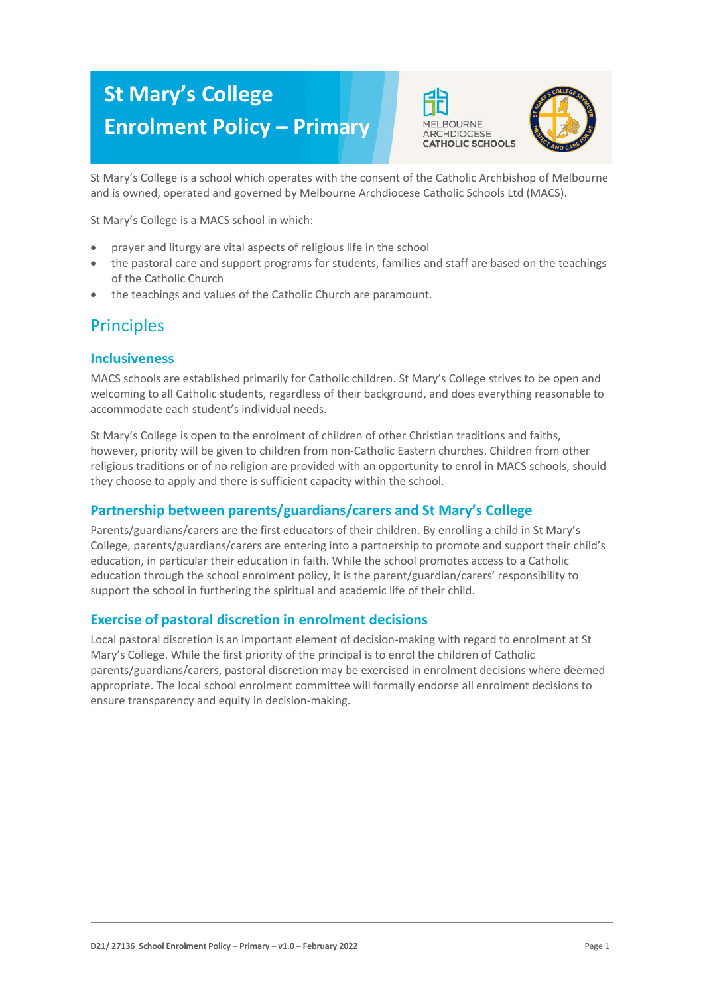# **St Mary's College Enrolment Policy – Primary**





St Mary's College is a school which operates with the consent of the Catholic Archbishop of Melbourne and is owned, operated and governed by Melbourne Archdiocese Catholic Schools Ltd (MACS).

St Mary's College is a MACS school in which:

- prayer and liturgy are vital aspects of religious life in the school
- the pastoral care and support programs for students, families and staff are based on the teachings of the Catholic Church
- the teachings and values of the Catholic Church are paramount.

# **Principles**

### **Inclusiveness**

MACS schools are established primarily for Catholic children. St Mary's College strives to be open and welcoming to all Catholic students, regardless of their background, and does everything reasonable to accommodate each student's individual needs.

St Mary's College is open to the enrolment of children of other Christian traditions and faiths, however, priority will be given to children from non-Catholic Eastern churches. Children from other religious traditions or of no religion are provided with an opportunity to enrol in MACS schools, should they choose to apply and there is sufficient capacity within the school.

# **Partnership between parents/guardians/carers and St Mary's College**

Parents/guardians/carers are the first educators of their children. By enrolling a child in St Mary's College, parents/guardians/carers are entering into a partnership to promote and support their child's education, in particular their education in faith. While the school promotes access to a Catholic education through the school enrolment policy, it is the parent/guardian/carers' responsibility to support the school in furthering the spiritual and academic life of their child.

### **Exercise of pastoral discretion in enrolment decisions**

Local pastoral discretion is an important element of decision-making with regard to enrolment at St Mary's College. While the first priority of the principal is to enrol the children of Catholic parents/guardians/carers, pastoral discretion may be exercised in enrolment decisions where deemed appropriate. The local school enrolment committee will formally endorse all enrolment decisions to ensure transparency and equity in decision-making.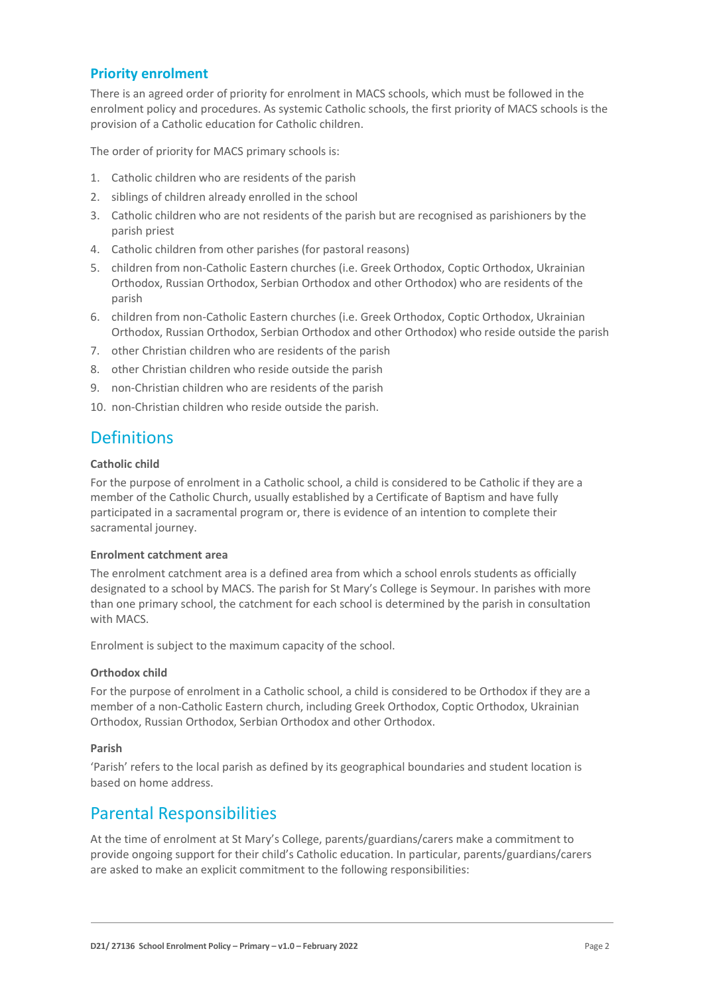### **Priority enrolment**

There is an agreed order of priority for enrolment in MACS schools, which must be followed in the enrolment policy and procedures. As systemic Catholic schools, the first priority of MACS schools is the provision of a Catholic education for Catholic children.

The order of priority for MACS primary schools is:

- 1. Catholic children who are residents of the parish
- 2. siblings of children already enrolled in the school
- 3. Catholic children who are not residents of the parish but are recognised as parishioners by the parish priest
- 4. Catholic children from other parishes (for pastoral reasons)
- 5. children from non-Catholic Eastern churches (i.e. Greek Orthodox, Coptic Orthodox, Ukrainian Orthodox, Russian Orthodox, Serbian Orthodox and other Orthodox) who are residents of the parish
- 6. children from non-Catholic Eastern churches (i.e. Greek Orthodox, Coptic Orthodox, Ukrainian Orthodox, Russian Orthodox, Serbian Orthodox and other Orthodox) who reside outside the parish
- 7. other Christian children who are residents of the parish
- 8. other Christian children who reside outside the parish
- 9. non-Christian children who are residents of the parish
- 10. non-Christian children who reside outside the parish.

# **Definitions**

#### **Catholic child**

For the purpose of enrolment in a Catholic school, a child is considered to be Catholic if they are a member of the Catholic Church, usually established by a Certificate of Baptism and have fully participated in a sacramental program or, there is evidence of an intention to complete their sacramental journey.

#### **Enrolment catchment area**

The enrolment catchment area is a defined area from which a school enrols students as officially designated to a school by MACS. The parish for St Mary's College is Seymour. In parishes with more than one primary school, the catchment for each school is determined by the parish in consultation with MACS.

Enrolment is subject to the maximum capacity of the school.

#### **Orthodox child**

For the purpose of enrolment in a Catholic school, a child is considered to be Orthodox if they are a member of a non-Catholic Eastern church, including Greek Orthodox, Coptic Orthodox, Ukrainian Orthodox, Russian Orthodox, Serbian Orthodox and other Orthodox.

#### **Parish**

'Parish' refers to the local parish as defined by its geographical boundaries and student location is based on home address.

# Parental Responsibilities

At the time of enrolment at St Mary's College, parents/guardians/carers make a commitment to provide ongoing support for their child's Catholic education. In particular, parents/guardians/carers are asked to make an explicit commitment to the following responsibilities: